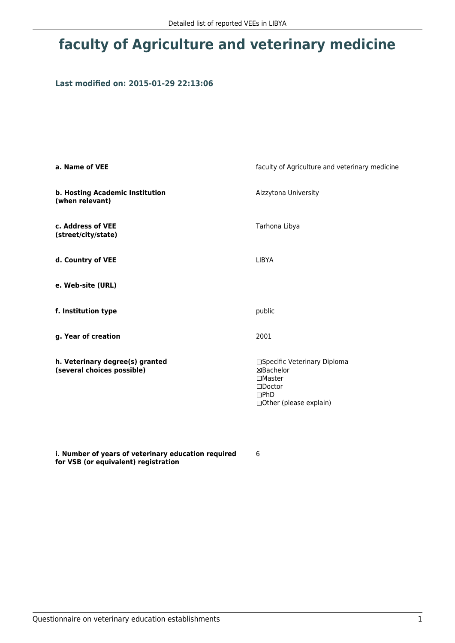# **faculty of Agriculture and veterinary medicine**

### **Last modified on: 2015-01-29 22:13:06**

| a. Name of VEE                                                | faculty of Agriculture and veterinary medicine                                                                                 |  |
|---------------------------------------------------------------|--------------------------------------------------------------------------------------------------------------------------------|--|
| b. Hosting Academic Institution<br>(when relevant)            | Alzzytona University                                                                                                           |  |
| c. Address of VEE<br>(street/city/state)                      | Tarhona Libya                                                                                                                  |  |
| d. Country of VEE                                             | <b>LIBYA</b>                                                                                                                   |  |
| e. Web-site (URL)                                             |                                                                                                                                |  |
| f. Institution type                                           | public                                                                                                                         |  |
| g. Year of creation                                           | 2001                                                                                                                           |  |
| h. Veterinary degree(s) granted<br>(several choices possible) | □Specific Veterinary Diploma<br>⊠Bachelor<br>$\square$ Master<br>$\square$ Doctor<br>$\square$ PhD<br>□ Other (please explain) |  |

**i. Number of years of veterinary education required for VSB (or equivalent) registration**

6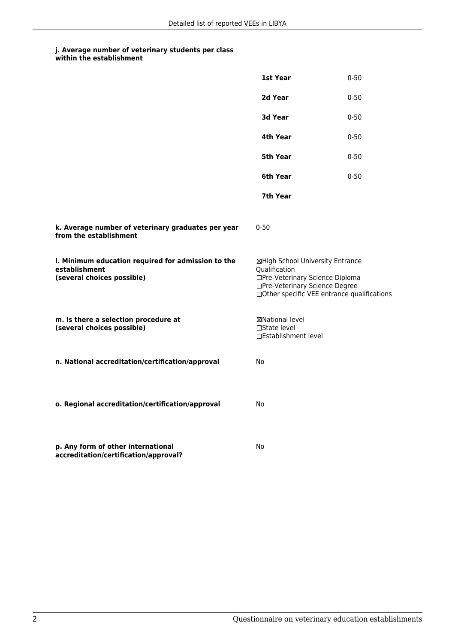#### **j. Average number of veterinary students per class within the establishment**

|                                                                                                   | 1st Year                                                                                                                                                              | $0 - 50$ |
|---------------------------------------------------------------------------------------------------|-----------------------------------------------------------------------------------------------------------------------------------------------------------------------|----------|
|                                                                                                   | 2d Year                                                                                                                                                               | $0 - 50$ |
|                                                                                                   | 3d Year                                                                                                                                                               | $0 - 50$ |
|                                                                                                   | 4th Year                                                                                                                                                              | $0 - 50$ |
|                                                                                                   | 5th Year                                                                                                                                                              | $0 - 50$ |
|                                                                                                   | 6th Year                                                                                                                                                              | $0 - 50$ |
|                                                                                                   | 7th Year                                                                                                                                                              |          |
| k. Average number of veterinary graduates per year<br>from the establishment                      | $0 - 50$                                                                                                                                                              |          |
| I. Minimum education required for admission to the<br>establishment<br>(several choices possible) | ⊠High School University Entrance<br>Qualification<br>□Pre-Veterinary Science Diploma<br>□Pre-Veterinary Science Degree<br>□Other specific VEE entrance qualifications |          |
| m. Is there a selection procedure at<br>(several choices possible)                                | ⊠National level<br>$\Box$ State level<br>□Establishment level                                                                                                         |          |
| n. National accreditation/certification/approval                                                  | No                                                                                                                                                                    |          |
| o. Regional accreditation/certification/approval                                                  | No                                                                                                                                                                    |          |
| p. Any form of other international<br>accreditation/certification/approval?                       | No                                                                                                                                                                    |          |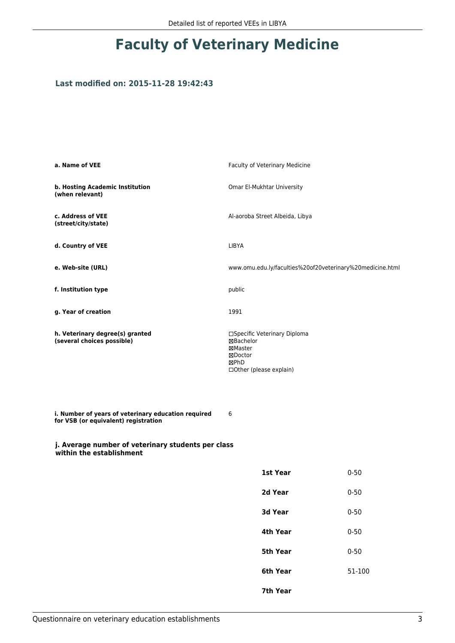# **Faculty of Veterinary Medicine**

### **Last modified on: 2015-11-28 19:42:43**

| a. Name of VEE                                                                              | Faculty of Veterinary Medicine                                                                     |          |  |  |
|---------------------------------------------------------------------------------------------|----------------------------------------------------------------------------------------------------|----------|--|--|
| b. Hosting Academic Institution<br>(when relevant)                                          | Omar El-Mukhtar University                                                                         |          |  |  |
| c. Address of VEE<br>(street/city/state)                                                    | Al-aoroba Street Albeida, Libya                                                                    |          |  |  |
| d. Country of VEE                                                                           | LIBYA                                                                                              |          |  |  |
| e. Web-site (URL)                                                                           | www.omu.edu.ly/faculties%20of20veterinary%20medicine.html                                          |          |  |  |
| f. Institution type                                                                         | public                                                                                             |          |  |  |
| g. Year of creation                                                                         | 1991                                                                                               |          |  |  |
| h. Veterinary degree(s) granted<br>(several choices possible)                               | □Specific Veterinary Diploma<br>⊠Bachelor<br>⊠Master<br>⊠Doctor<br>⊠PhD<br>□Other (please explain) |          |  |  |
| i. Number of years of veterinary education required<br>for VSB (or equivalent) registration | 6                                                                                                  |          |  |  |
| j. Average number of veterinary students per class<br>within the establishment              |                                                                                                    |          |  |  |
|                                                                                             | 1st Year                                                                                           | $0 - 50$ |  |  |
|                                                                                             | 2d Year                                                                                            | $0 - 50$ |  |  |
|                                                                                             | 3d Year                                                                                            | $0 - 50$ |  |  |
|                                                                                             | 4th Year                                                                                           | $0 - 50$ |  |  |
|                                                                                             | 5th Year                                                                                           | $0 - 50$ |  |  |
|                                                                                             | 6th Year                                                                                           | 51-100   |  |  |
|                                                                                             | 7th Year                                                                                           |          |  |  |